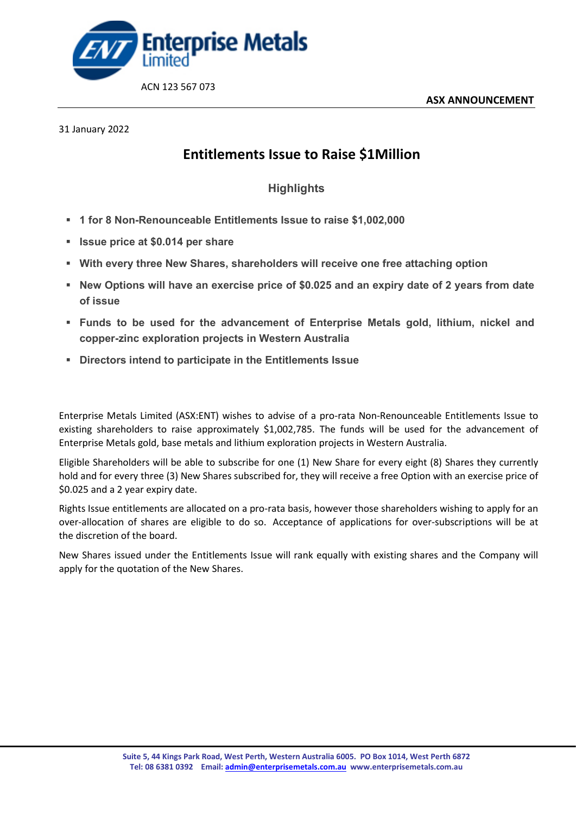

## 31 January 2022

## **Entitlements Issue to Raise \$1Million**

## **Highlights**

- **1 for 8 Non-Renounceable Entitlements Issue to raise \$1,002,000**
- **Issue price at \$0.014 per share**
- **With every three New Shares, shareholders will receive one free attaching option**
- **New Options will have an exercise price of \$0.025 and an expiry date of 2 years from date of issue**
- **Funds to be used for the advancement of Enterprise Metals gold, lithium, nickel and copper-zinc exploration projects in Western Australia**
- **Directors intend to participate in the Entitlements Issue**

Enterprise Metals Limited (ASX:ENT) wishes to advise of a pro-rata Non-Renounceable Entitlements Issue to existing shareholders to raise approximately \$1,002,785. The funds will be used for the advancement of Enterprise Metals gold, base metals and lithium exploration projects in Western Australia.

Eligible Shareholders will be able to subscribe for one (1) New Share for every eight (8) Shares they currently hold and for every three (3) New Shares subscribed for, they will receive a free Option with an exercise price of \$0.025 and a 2 year expiry date.

Rights Issue entitlements are allocated on a pro-rata basis, however those shareholders wishing to apply for an over-allocation of shares are eligible to do so. Acceptance of applications for over-subscriptions will be at the discretion of the board.

New Shares issued under the Entitlements Issue will rank equally with existing shares and the Company will apply for the quotation of the New Shares.